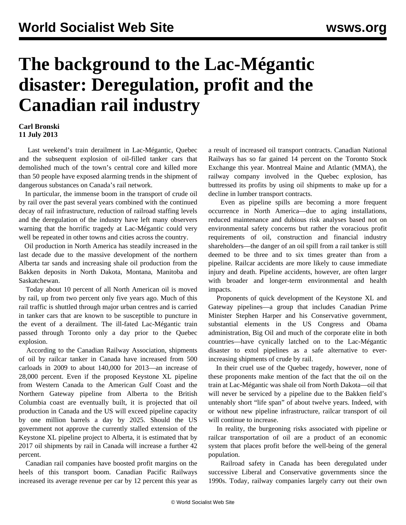## **The background to the Lac-Mégantic disaster: Deregulation, profit and the Canadian rail industry**

## **Carl Bronski 11 July 2013**

 Last weekend's train derailment in Lac-Mégantic, Quebec and the subsequent explosion of oil-filled tanker cars that demolished much of the town's central core and killed more than 50 people have exposed alarming trends in the shipment of dangerous substances on Canada's rail network.

 In particular, the immense boom in the transport of crude oil by rail over the past several years combined with the continued decay of rail infrastructure, reduction of railroad staffing levels and the deregulation of the industry have left many observers warning that the horrific tragedy at Lac-Mégantic could very well be repeated in other towns and cities across the country.

 Oil production in North America has steadily increased in the last decade due to the massive development of the northern Alberta tar sands and increasing shale oil production from the Bakken deposits in North Dakota, Montana, Manitoba and Saskatchewan.

 Today about 10 percent of all North American oil is moved by rail, up from two percent only five years ago. Much of this rail traffic is shuttled through major urban centres and is carried in tanker cars that are known to be susceptible to puncture in the event of a derailment. The ill-fated Lac-Mégantic train passed through Toronto only a day prior to the Quebec explosion.

 According to the Canadian Railway Association, shipments of oil by railcar tanker in Canada have increased from 500 carloads in 2009 to about 140,000 for 2013—an increase of 28,000 percent. Even if the proposed Keystone XL pipeline from Western Canada to the American Gulf Coast and the Northern Gateway pipeline from Alberta to the British Columbia coast are eventually built, it is projected that oil production in Canada and the US will exceed pipeline capacity by one million barrels a day by 2025. Should the US government not approve the currently stalled extension of the Keystone XL pipeline project to Alberta, it is estimated that by 2017 oil shipments by rail in Canada will increase a further 42 percent.

 Canadian rail companies have boosted profit margins on the heels of this transport boom. Canadian Pacific Railways increased its average revenue per car by 12 percent this year as

a result of increased oil transport contracts. Canadian National Railways has so far gained 14 percent on the Toronto Stock Exchange this year. Montreal Maine and Atlantic (MMA), the railway company involved in the Quebec explosion, has buttressed its profits by using oil shipments to make up for a decline in lumber transport contracts.

 Even as pipeline spills are becoming a more frequent occurrence in North America—due to aging installations, reduced maintenance and dubious risk analyses based not on environmental safety concerns but rather the voracious profit requirements of oil, construction and financial industry shareholders—the danger of an oil spill from a rail tanker is still deemed to be three and to six times greater than from a pipeline. Railcar accidents are more likely to cause immediate injury and death. Pipeline accidents, however, are often larger with broader and longer-term environmental and health impacts.

 Proponents of quick development of the Keystone XL and Gateway pipelines—a group that includes Canadian Prime Minister Stephen Harper and his Conservative government, substantial elements in the US Congress and Obama administration, Big Oil and much of the corporate elite in both countries—have cynically latched on to the Lac-Mégantic disaster to extol pipelines as a safe alternative to everincreasing shipments of crude by rail.

 In their cruel use of the Quebec tragedy, however, none of these proponents make mention of the fact that the oil on the train at Lac-Mégantic was shale oil from North Dakota—oil that will never be serviced by a pipeline due to the Bakken field's untenably short "life span" of about twelve years. Indeed, with or without new pipeline infrastructure, railcar transport of oil will continue to increase.

 In reality, the burgeoning risks associated with pipeline or railcar transportation of oil are a product of an economic system that places profit before the well-being of the general population.

 Railroad safety in Canada has been deregulated under successive Liberal and Conservative governments since the 1990s. Today, railway companies largely carry out their own